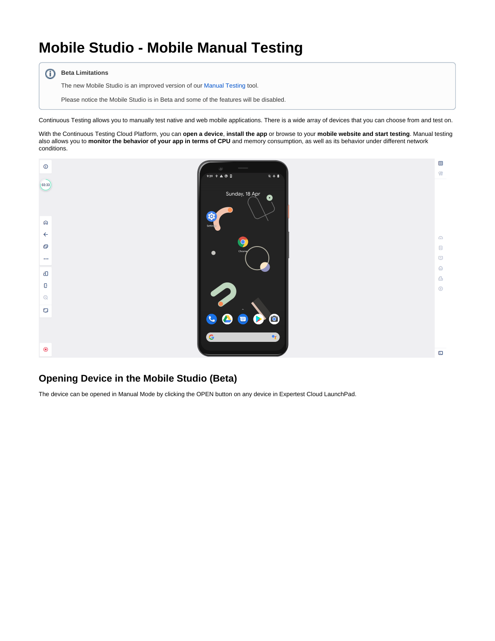## **Mobile Studio - Mobile Manual Testing**

**Beta Limitations** 

The new Mobile Studio is an improved version of our [Manual Testing](https://docs.experitest.com/display/LT/Mobile+Manual+Testing) tool.

Please notice the Mobile Studio is in Beta and some of the features will be disabled.

Continuous Testing allows you to manually test native and web mobile applications. There is a wide array of devices that you can choose from and test on.

With the Continuous Testing Cloud Platform, you can **open a device**, **install the app** or browse to your **mobile website and start testing**. Manual testing also allows you to **monitor the behavior of your app in terms of CPU** and memory consumption, as well as its behavior under different network conditions.



## **Opening Device in the Mobile Studio (Beta)**

The device can be opened in Manual Mode by clicking the OPEN button on any device in Expertest Cloud LaunchPad.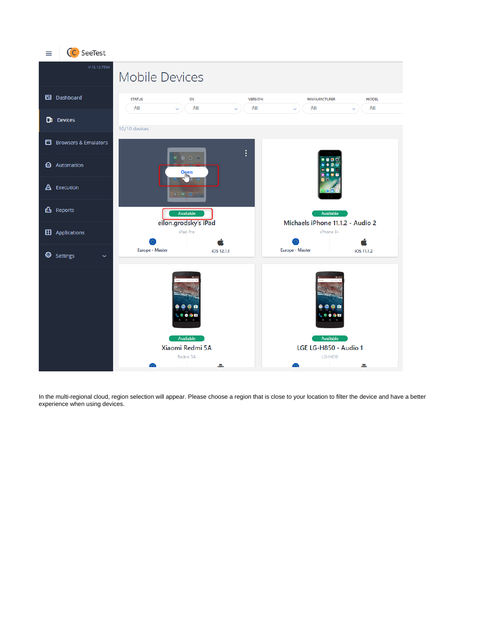

In the multi-regional cloud, region selection will appear. Please choose a region that is close to your location to filter the device and have a better experience when using devices.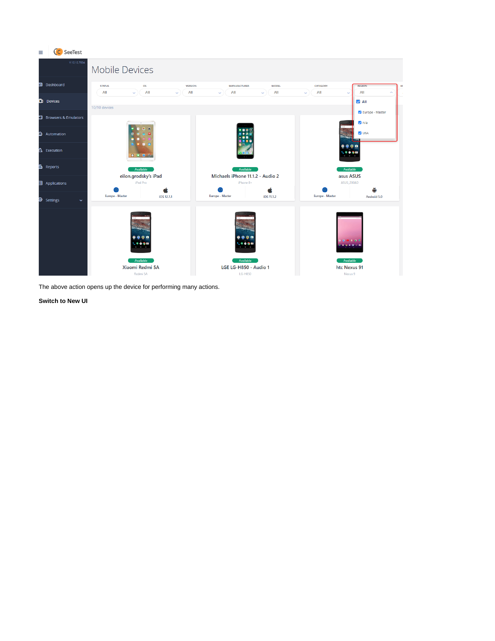

The above action opens up the device for performing many actions.

**Switch to New UI**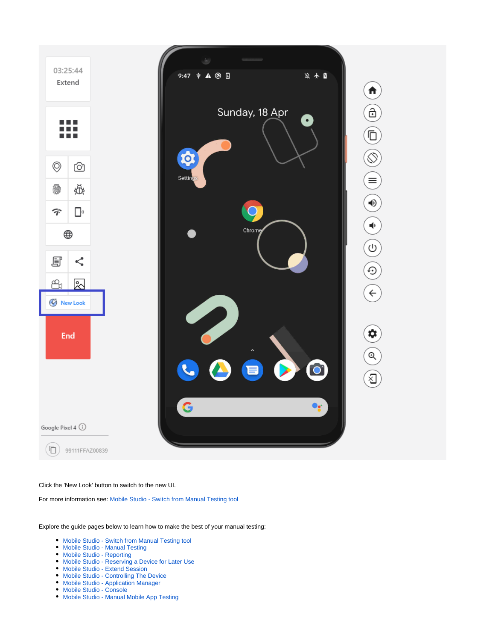

Click the 'New Look' button to switch to the new UI.

For more information see: [Mobile Studio - Switch from Manual Testing tool](https://docs.experitest.com/display/LT/Mobile+Studio+-+Switch+from+Manual+Testing+tool)

Explore the guide pages below to learn how to make the best of your manual testing:

- [Mobile Studio Switch from Manual Testing tool](https://docs.experitest.com/display/LT/Mobile+Studio+-+Switch+from+Manual+Testing+tool)
- [Mobile Studio Manual Testing](https://docs.experitest.com/display/LT/Mobile+Studio+-+Manual+Testing)
- [Mobile Studio Reporting](https://docs.experitest.com/display/LT/Mobile+Studio+-+Reporting)
- [Mobile Studio Reserving a Device for Later Use](https://docs.experitest.com/display/LT/Mobile+Studio+-+Reserving+a+Device+for+Later+Use)
- [Mobile Studio Extend Session](https://docs.experitest.com/display/LT/Mobile+Studio+-+Extend+Session)
- [Mobile Studio Controlling The Device](https://docs.experitest.com/display/LT/Mobile+Studio+-+Controlling+The+Device)
- [Mobile Studio Application Manager](https://docs.experitest.com/display/LT/Mobile+Studio+-+Application+Manager)
- [Mobile Studio Console](https://docs.experitest.com/display/LT/Mobile+Studio+-+Console)
- [Mobile Studio Manual Mobile App Testing](https://docs.experitest.com/display/LT/Mobile+Studio+-+Manual+Mobile+App+Testing)